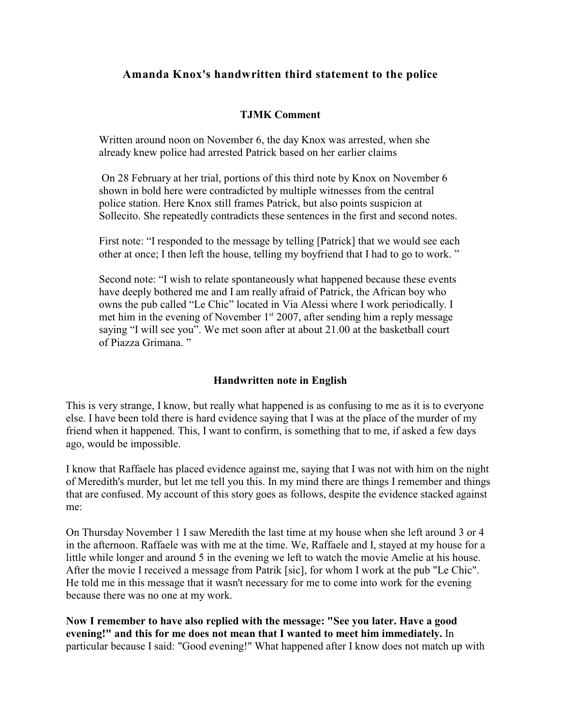## **Amanda Knox's handwritten third statement to the police**

## **TJMK Comment**

Written around noon on November 6, the day Knox was arrested, when she already knew police had arrested Patrick based on her earlier claims

 On 28 February at her trial, portions of this third note by Knox on November 6 shown in bold here were contradicted by multiple witnesses from the central police station. Here Knox still frames Patrick, but also points suspicion at Sollecito. She repeatedly contradicts these sentences in the first and second notes.

First note: "I responded to the message by telling [Patrick] that we would see each other at once; I then left the house, telling my boyfriend that I had to go to work. "

Second note: "I wish to relate spontaneously what happened because these events have deeply bothered me and I am really afraid of Patrick, the African boy who owns the pub called "Le Chic" located in Via Alessi where I work periodically. I met him in the evening of November  $1<sup>st</sup>$  2007, after sending him a reply message saying "I will see you". We met soon after at about 21.00 at the basketball court of Piazza Grimana. "

## **Handwritten note in English**

This is very strange, I know, but really what happened is as confusing to me as it is to everyone else. I have been told there is hard evidence saying that I was at the place of the murder of my friend when it happened. This, I want to confirm, is something that to me, if asked a few days ago, would be impossible.

I know that Raffaele has placed evidence against me, saying that I was not with him on the night of Meredith's murder, but let me tell you this. In my mind there are things I remember and things that are confused. My account of this story goes as follows, despite the evidence stacked against me:

On Thursday November 1 I saw Meredith the last time at my house when she left around 3 or 4 in the afternoon. Raffaele was with me at the time. We, Raffaele and I, stayed at my house for a little while longer and around 5 in the evening we left to watch the movie Amelie at his house. After the movie I received a message from Patrik [sic], for whom I work at the pub "Le Chic". He told me in this message that it wasn't necessary for me to come into work for the evening because there was no one at my work.

**Now I remember to have also replied with the message: "See you later. Have a good evening!" and this for me does not mean that I wanted to meet him immediately.** In particular because I said: "Good evening!" What happened after I know does not match up with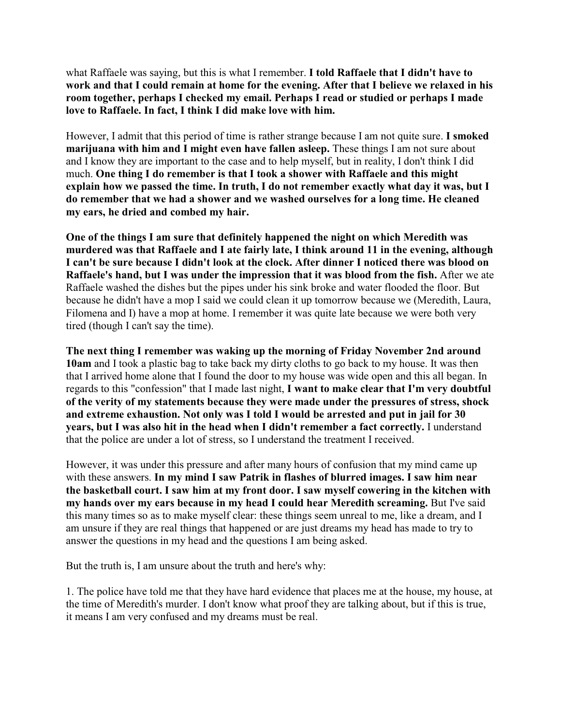what Raffaele was saying, but this is what I remember. **I told Raffaele that I didn't have to work and that I could remain at home for the evening. After that I believe we relaxed in his room together, perhaps I checked my email. Perhaps I read or studied or perhaps I made love to Raffaele. In fact, I think I did make love with him.**

However, I admit that this period of time is rather strange because I am not quite sure. **I smoked marijuana with him and I might even have fallen asleep.** These things I am not sure about and I know they are important to the case and to help myself, but in reality, I don't think I did much. **One thing I do remember is that I took a shower with Raffaele and this might explain how we passed the time. In truth, I do not remember exactly what day it was, but I do remember that we had a shower and we washed ourselves for a long time. He cleaned my ears, he dried and combed my hair.**

**One of the things I am sure that definitely happened the night on which Meredith was murdered was that Raffaele and I ate fairly late, I think around 11 in the evening, although I can't be sure because I didn't look at the clock. After dinner I noticed there was blood on Raffaele's hand, but I was under the impression that it was blood from the fish.** After we ate Raffaele washed the dishes but the pipes under his sink broke and water flooded the floor. But because he didn't have a mop I said we could clean it up tomorrow because we (Meredith, Laura, Filomena and I) have a mop at home. I remember it was quite late because we were both very tired (though I can't say the time).

**The next thing I remember was waking up the morning of Friday November 2nd around 10am** and I took a plastic bag to take back my dirty cloths to go back to my house. It was then that I arrived home alone that I found the door to my house was wide open and this all began. In regards to this "confession" that I made last night, **I want to make clear that I'm very doubtful of the verity of my statements because they were made under the pressures of stress, shock and extreme exhaustion. Not only was I told I would be arrested and put in jail for 30 years, but I was also hit in the head when I didn't remember a fact correctly.** I understand that the police are under a lot of stress, so I understand the treatment I received.

However, it was under this pressure and after many hours of confusion that my mind came up with these answers. **In my mind I saw Patrik in flashes of blurred images. I saw him near the basketball court. I saw him at my front door. I saw myself cowering in the kitchen with my hands over my ears because in my head I could hear Meredith screaming.** But I've said this many times so as to make myself clear: these things seem unreal to me, like a dream, and I am unsure if they are real things that happened or are just dreams my head has made to try to answer the questions in my head and the questions I am being asked.

But the truth is, I am unsure about the truth and here's why:

1. The police have told me that they have hard evidence that places me at the house, my house, at the time of Meredith's murder. I don't know what proof they are talking about, but if this is true, it means I am very confused and my dreams must be real.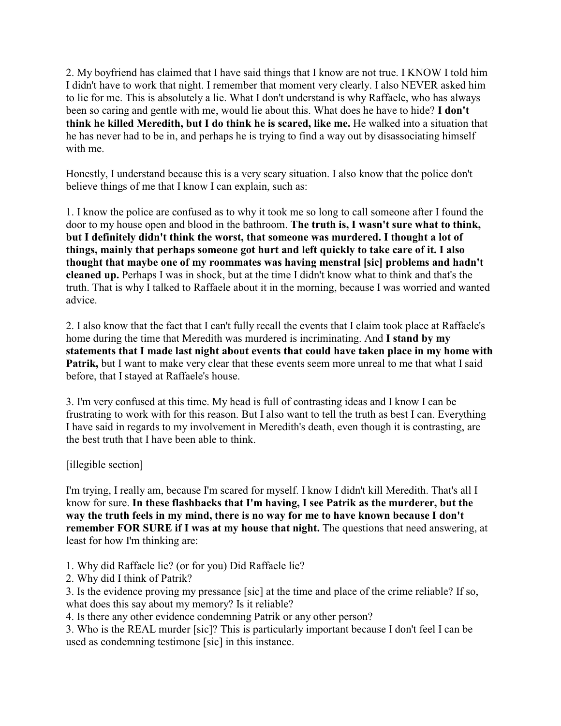2. My boyfriend has claimed that I have said things that I know are not true. I KNOW I told him I didn't have to work that night. I remember that moment very clearly. I also NEVER asked him to lie for me. This is absolutely a lie. What I don't understand is why Raffaele, who has always been so caring and gentle with me, would lie about this. What does he have to hide? **I don't think he killed Meredith, but I do think he is scared, like me.** He walked into a situation that he has never had to be in, and perhaps he is trying to find a way out by disassociating himself with me.

Honestly, I understand because this is a very scary situation. I also know that the police don't believe things of me that I know I can explain, such as:

1. I know the police are confused as to why it took me so long to call someone after I found the door to my house open and blood in the bathroom. **The truth is, I wasn't sure what to think, but I definitely didn't think the worst, that someone was murdered. I thought a lot of things, mainly that perhaps someone got hurt and left quickly to take care of it. I also thought that maybe one of my roommates was having menstral [sic] problems and hadn't cleaned up.** Perhaps I was in shock, but at the time I didn't know what to think and that's the truth. That is why I talked to Raffaele about it in the morning, because I was worried and wanted advice.

2. I also know that the fact that I can't fully recall the events that I claim took place at Raffaele's home during the time that Meredith was murdered is incriminating. And **I stand by my statements that I made last night about events that could have taken place in my home with** Patrik, but I want to make very clear that these events seem more unreal to me that what I said before, that I stayed at Raffaele's house.

3. I'm very confused at this time. My head is full of contrasting ideas and I know I can be frustrating to work with for this reason. But I also want to tell the truth as best I can. Everything I have said in regards to my involvement in Meredith's death, even though it is contrasting, are the best truth that I have been able to think.

[illegible section]

I'm trying, I really am, because I'm scared for myself. I know I didn't kill Meredith. That's all I know for sure. **In these flashbacks that I'm having, I see Patrik as the murderer, but the way the truth feels in my mind, there is no way for me to have known because I don't remember FOR SURE if I was at my house that night.** The questions that need answering, at least for how I'm thinking are:

1. Why did Raffaele lie? (or for you) Did Raffaele lie?

2. Why did I think of Patrik?

3. Is the evidence proving my pressance [sic] at the time and place of the crime reliable? If so,

what does this say about my memory? Is it reliable?

4. Is there any other evidence condemning Patrik or any other person?

3. Who is the REAL murder [sic]? This is particularly important because I don't feel I can be used as condemning testimone [sic] in this instance.